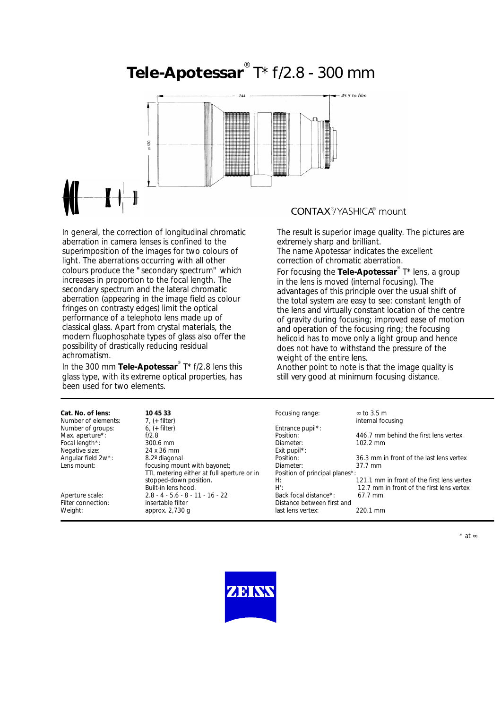# **Tele-Apotessar**® T\* f/2.8 - 300 mm



In general, the correction of longitudinal chromatic aberration in camera lenses is confined to the superimposition of the images for two colours of light. The aberrations occurring with all other colours produce the "secondary spectrum" which increases in proportion to the focal length. The secondary spectrum and the lateral chromatic aberration (appearing in the image field as colour fringes on contrasty edges) limit the optical performance of a telephoto lens made up of classical glass. Apart from crystal materials, the modern fluophosphate types of glass also offer the possibility of drastically reducing residual achromatism.

In the 300 mm **TeIe-Apotessar**® T\* f/2.8 lens this glass type, with its extreme optical properties, has been used for two elements.

### **CONTAX**<sup>®</sup>/YASHICA® mount

The result is superior image quality. The pictures are extremely sharp and brilliant. The name Apotessar indicates the excellent correction of chromatic aberration.

For focusing the **Tele-Apotessar**® T\* lens, a group in the lens is moved (internal focusing). The advantages of this principle over the usual shift of the total system are easy to see: constant length of the lens and virtually constant location of the centre of gravity during focusing; improved ease of motion and operation of the focusing ring; the focusing helicoid has to move only a light group and hence does not have to withstand the pressure of the weight of the entire lens.

Another point to note is that the image quality is still very good at minimum focusing distance.

| Cat. No. of lens:   | 10 45 33                                   | Focusing range:                | $\approx$ to 3.5 m                         |
|---------------------|--------------------------------------------|--------------------------------|--------------------------------------------|
| Number of elements: | $7. (+$ filter)                            |                                | internal focusing                          |
| Number of groups:   | $6, (+$ filter)                            | Entrance pupil*:               |                                            |
| Max. aperture*:     | f/2.8                                      | Position:                      | 446.7 mm behind the first lens vertex      |
| Focal length*:      | $300.6$ mm                                 | Diameter:                      | $102.2 \text{ mm}$                         |
| Negative size:      | 24 x 36 mm                                 | Exit pupil <sup>*</sup> :      |                                            |
| Angular field 2w*:  | 8.2° diagonal                              | Position:                      | 36.3 mm in front of the last lens vertex   |
| Lens mount:         | focusing mount with bayonet;               | Diameter:                      | $37.7 \text{ mm}$                          |
|                     | TTL metering either at full aperture or in | Position of principal planes*: |                                            |
|                     | stopped-down position.                     | H:                             | 121.1 mm in front of the first lens vertex |
|                     | Built-in lens hood.                        | H':                            | 12.7 mm in front of the first lens vertex  |
| Aperture scale:     | $2.8 - 4 - 5.6 - 8 - 11 - 16 - 22$         | Back focal distance*:          | $67.7$ mm                                  |
| Filter connection:  | insertable filter                          | Distance between first and     |                                            |
| Weight:             | approx. $2,730$ q                          | last lens vertex:              | 220.1 mm                                   |
|                     |                                            |                                |                                            |

\* at ∞

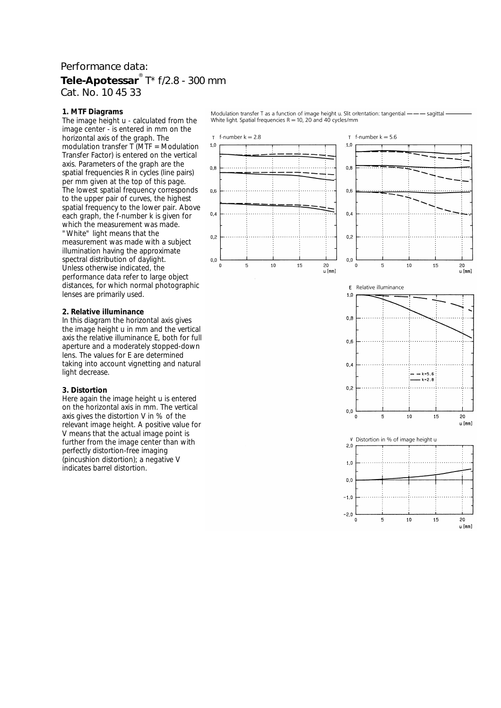## Performance data: **Tele-Apotessar**® T\* f/2.8 - 300 mm Cat. No. 10 45 33

 $1.0$ 

 $0.8$ 

 $0<sub>6</sub>$ 

 $04$ 

 $0.2$ 

 $_{0,0}$ 

#### **1. MTF Diagrams**

The image height u - calculated from the image center - is entered in mm on the horizontal axis of the graph. The modulation transfer  $\overline{T}$  (MTF = Modulation Transfer Factor) is entered on the vertical axis. Parameters of the graph are the spatial frequencies R in cycles (line pairs) per mm given at the top of this page. The lowest spatial frequency corresponds to the upper pair of curves, the highest spatial frequency to the lower pair. Above each graph, the f-number k is given for which the measurement was made. "White" light means that the measurement was made with a subject illumination having the approximate spectral distribution of daylight. Unless otherwise indicated, the performance data refer to large object distances, for which normal photographic lenses are primarily used.

#### **2. Relative illuminance**

In this diagram the horizontal axis gives the image height u in mm and the vertical axis the relative illuminance E, both for full aperture and a moderately stopped-down lens. The values for E are determined taking into account vignetting and natural light decrease.

#### **3. Distortion**

Here again the image height u is entered on the horizontal axis in mm. The vertical axis gives the distortion V in % of the relevant image height. A positive value for V means that the actual image point is further from the image center than with perfectly distortion-free imaging (pincushion distortion); a negative V indicates barrel distortion.

Modulation transfer T as a function of image height u. Slit orientation: tangential --- sagittal White light. Spatial frequencies  $R = 10$ , 20 and 40 cycles/mm